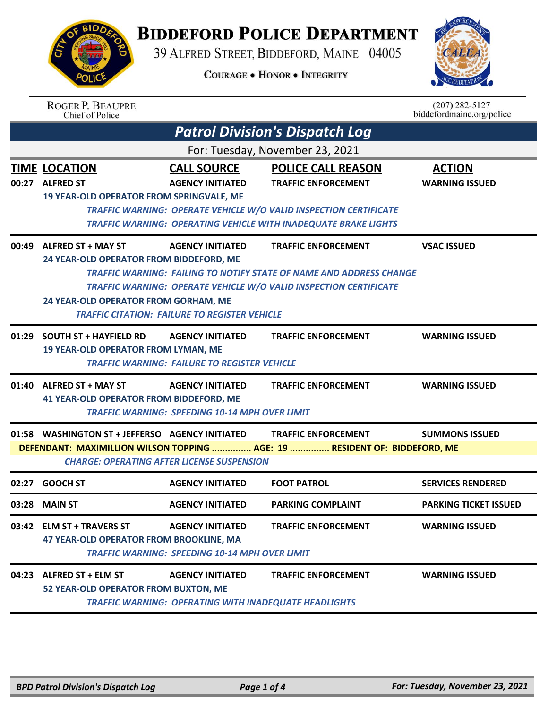**BIDDEFORD POLICE DEPARTMENT** 

39 ALFRED STREET, BIDDEFORD, MAINE 04005

**COURAGE . HONOR . INTEGRITY** 



|                                                                                                                                 | <b>ROGER P. BEAUPRE</b><br><b>Chief of Police</b>                                                           |                                                                                         |                                                                                                                                                                                                               | $(207)$ 282-5127<br>biddefordmaine.org/police |  |  |
|---------------------------------------------------------------------------------------------------------------------------------|-------------------------------------------------------------------------------------------------------------|-----------------------------------------------------------------------------------------|---------------------------------------------------------------------------------------------------------------------------------------------------------------------------------------------------------------|-----------------------------------------------|--|--|
|                                                                                                                                 | <b>Patrol Division's Dispatch Log</b>                                                                       |                                                                                         |                                                                                                                                                                                                               |                                               |  |  |
|                                                                                                                                 | For: Tuesday, November 23, 2021                                                                             |                                                                                         |                                                                                                                                                                                                               |                                               |  |  |
| 00:27                                                                                                                           | <b>TIME LOCATION</b><br><b>ALFRED ST</b><br>19 YEAR-OLD OPERATOR FROM SPRINGVALE, ME                        | <b>CALL SOURCE</b><br><b>AGENCY INITIATED</b>                                           | <b>POLICE CALL REASON</b><br><b>TRAFFIC ENFORCEMENT</b><br><b>TRAFFIC WARNING: OPERATE VEHICLE W/O VALID INSPECTION CERTIFICATE</b><br><b>TRAFFIC WARNING: OPERATING VEHICLE WITH INADEQUATE BRAKE LIGHTS</b> | <b>ACTION</b><br><b>WARNING ISSUED</b>        |  |  |
|                                                                                                                                 | 00:49 ALFRED ST + MAY ST<br>24 YEAR-OLD OPERATOR FROM BIDDEFORD, ME<br>24 YEAR-OLD OPERATOR FROM GORHAM, ME | <b>AGENCY INITIATED</b><br><b>TRAFFIC CITATION: FAILURE TO REGISTER VEHICLE</b>         | <b>TRAFFIC ENFORCEMENT</b><br><b>TRAFFIC WARNING: FAILING TO NOTIFY STATE OF NAME AND ADDRESS CHANGE</b><br><b>TRAFFIC WARNING: OPERATE VEHICLE W/O VALID INSPECTION CERTIFICATE</b>                          | <b>VSAC ISSUED</b>                            |  |  |
| 01:29                                                                                                                           | <b>SOUTH ST + HAYFIELD RD</b><br><b>19 YEAR-OLD OPERATOR FROM LYMAN, ME</b>                                 | <b>AGENCY INITIATED</b><br><b>TRAFFIC WARNING: FAILURE TO REGISTER VEHICLE</b>          | <b>TRAFFIC ENFORCEMENT</b>                                                                                                                                                                                    | <b>WARNING ISSUED</b>                         |  |  |
|                                                                                                                                 | 01:40 ALFRED ST + MAY ST<br><b>41 YEAR-OLD OPERATOR FROM BIDDEFORD, ME</b>                                  | <b>AGENCY INITIATED</b><br><b>TRAFFIC WARNING: SPEEDING 10-14 MPH OVER LIMIT</b>        | <b>TRAFFIC ENFORCEMENT</b>                                                                                                                                                                                    | <b>WARNING ISSUED</b>                         |  |  |
|                                                                                                                                 | 01:58 WASHINGTON ST + JEFFERSO AGENCY INITIATED                                                             |                                                                                         | <b>TRAFFIC ENFORCEMENT</b>                                                                                                                                                                                    | <b>SUMMONS ISSUED</b>                         |  |  |
| DEFENDANT: MAXIMILLION WILSON TOPPING  AGE: 19  RESIDENT OF: BIDDEFORD, ME<br><b>CHARGE: OPERATING AFTER LICENSE SUSPENSION</b> |                                                                                                             |                                                                                         |                                                                                                                                                                                                               |                                               |  |  |
| 02:27                                                                                                                           | <b>GOOCH ST</b>                                                                                             | <b>AGENCY INITIATED</b>                                                                 | <b>FOOT PATROL</b>                                                                                                                                                                                            | <b>SERVICES RENDERED</b>                      |  |  |
|                                                                                                                                 | 03:28 MAIN ST                                                                                               | <b>AGENCY INITIATED</b>                                                                 | <b>PARKING COMPLAINT</b>                                                                                                                                                                                      | <b>PARKING TICKET ISSUED</b>                  |  |  |
| 03:42                                                                                                                           | <b>ELM ST + TRAVERS ST</b><br>47 YEAR-OLD OPERATOR FROM BROOKLINE, MA                                       | <b>AGENCY INITIATED</b><br><b>TRAFFIC WARNING: SPEEDING 10-14 MPH OVER LIMIT</b>        | <b>TRAFFIC ENFORCEMENT</b>                                                                                                                                                                                    | <b>WARNING ISSUED</b>                         |  |  |
| 04:23                                                                                                                           | ALFRED ST + ELM ST<br>52 YEAR-OLD OPERATOR FROM BUXTON, ME                                                  | <b>AGENCY INITIATED</b><br><b>TRAFFIC WARNING: OPERATING WITH INADEQUATE HEADLIGHTS</b> | <b>TRAFFIC ENFORCEMENT</b>                                                                                                                                                                                    | <b>WARNING ISSUED</b>                         |  |  |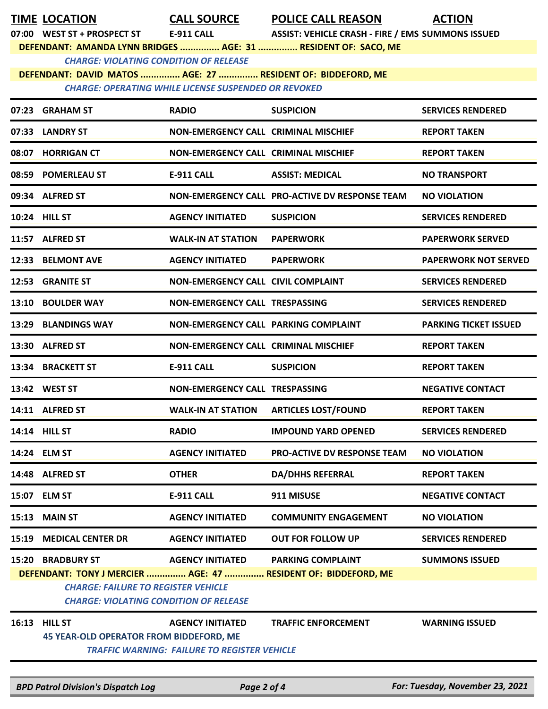|                                                                                                              | <b>TIME LOCATION</b>                                                                        | <b>CALL SOURCE</b>                                          | <b>POLICE CALL REASON</b>                                      | <b>ACTION</b>                |  |
|--------------------------------------------------------------------------------------------------------------|---------------------------------------------------------------------------------------------|-------------------------------------------------------------|----------------------------------------------------------------|------------------------------|--|
|                                                                                                              | 07:00 WEST ST + PROSPECT ST                                                                 | <b>E-911 CALL</b>                                           | <b>ASSIST: VEHICLE CRASH - FIRE / EMS SUMMONS ISSUED</b>       |                              |  |
|                                                                                                              |                                                                                             |                                                             | DEFENDANT: AMANDA LYNN BRIDGES  AGE: 31  RESIDENT OF: SACO, ME |                              |  |
| <b>CHARGE: VIOLATING CONDITION OF RELEASE</b><br>DEFENDANT: DAVID MATOS  AGE: 27  RESIDENT OF: BIDDEFORD, ME |                                                                                             |                                                             |                                                                |                              |  |
|                                                                                                              |                                                                                             | <b>CHARGE: OPERATING WHILE LICENSE SUSPENDED OR REVOKED</b> |                                                                |                              |  |
|                                                                                                              | 07:23 GRAHAM ST                                                                             | <b>RADIO</b>                                                | <b>SUSPICION</b>                                               | <b>SERVICES RENDERED</b>     |  |
|                                                                                                              |                                                                                             |                                                             |                                                                |                              |  |
|                                                                                                              | 07:33 LANDRY ST                                                                             | <b>NON-EMERGENCY CALL CRIMINAL MISCHIEF</b>                 |                                                                | <b>REPORT TAKEN</b>          |  |
|                                                                                                              | 08:07 HORRIGAN CT                                                                           | <b>NON-EMERGENCY CALL CRIMINAL MISCHIEF</b>                 |                                                                | <b>REPORT TAKEN</b>          |  |
|                                                                                                              | 08:59 POMERLEAU ST                                                                          | <b>E-911 CALL</b>                                           | <b>ASSIST: MEDICAL</b>                                         | <b>NO TRANSPORT</b>          |  |
|                                                                                                              | 09:34 ALFRED ST                                                                             |                                                             | NON-EMERGENCY CALL PRO-ACTIVE DV RESPONSE TEAM                 | <b>NO VIOLATION</b>          |  |
|                                                                                                              | <b>10:24 HILL ST</b>                                                                        | <b>AGENCY INITIATED</b>                                     | <b>SUSPICION</b>                                               | <b>SERVICES RENDERED</b>     |  |
|                                                                                                              | 11:57 ALFRED ST                                                                             | <b>WALK-IN AT STATION</b>                                   | <b>PAPERWORK</b>                                               | <b>PAPERWORK SERVED</b>      |  |
|                                                                                                              | 12:33 BELMONT AVE                                                                           | <b>AGENCY INITIATED</b>                                     | <b>PAPERWORK</b>                                               | <b>PAPERWORK NOT SERVED</b>  |  |
|                                                                                                              | 12:53 GRANITE ST                                                                            | <b>NON-EMERGENCY CALL CIVIL COMPLAINT</b>                   |                                                                | <b>SERVICES RENDERED</b>     |  |
|                                                                                                              | 13:10 BOULDER WAY                                                                           | <b>NON-EMERGENCY CALL TRESPASSING</b>                       |                                                                | <b>SERVICES RENDERED</b>     |  |
|                                                                                                              | 13:29 BLANDINGS WAY                                                                         | NON-EMERGENCY CALL PARKING COMPLAINT                        |                                                                | <b>PARKING TICKET ISSUED</b> |  |
|                                                                                                              | 13:30 ALFRED ST                                                                             | <b>NON-EMERGENCY CALL CRIMINAL MISCHIEF</b>                 |                                                                | <b>REPORT TAKEN</b>          |  |
|                                                                                                              | 13:34 BRACKETT ST                                                                           | <b>E-911 CALL</b>                                           | <b>SUSPICION</b>                                               | <b>REPORT TAKEN</b>          |  |
|                                                                                                              | 13:42 WEST ST                                                                               | <b>NON-EMERGENCY CALL TRESPASSING</b>                       |                                                                | <b>NEGATIVE CONTACT</b>      |  |
|                                                                                                              | 14:11 ALFRED ST                                                                             | <b>WALK-IN AT STATION</b>                                   | <b>ARTICLES LOST/FOUND</b>                                     | <b>REPORT TAKEN</b>          |  |
|                                                                                                              | 14:14 HILL ST                                                                               | <b>RADIO</b>                                                | <b>IMPOUND YARD OPENED</b>                                     | <b>SERVICES RENDERED</b>     |  |
|                                                                                                              | 14:24 ELM ST                                                                                | <b>AGENCY INITIATED</b>                                     | <b>PRO-ACTIVE DV RESPONSE TEAM</b>                             | <b>NO VIOLATION</b>          |  |
|                                                                                                              | 14:48 ALFRED ST                                                                             | <b>OTHER</b>                                                | <b>DA/DHHS REFERRAL</b>                                        | <b>REPORT TAKEN</b>          |  |
|                                                                                                              | 15:07 ELM ST                                                                                | <b>E-911 CALL</b>                                           | 911 MISUSE                                                     | <b>NEGATIVE CONTACT</b>      |  |
| 15:13                                                                                                        | <b>MAIN ST</b>                                                                              | <b>AGENCY INITIATED</b>                                     | <b>COMMUNITY ENGAGEMENT</b>                                    | <b>NO VIOLATION</b>          |  |
| 15:19                                                                                                        | <b>MEDICAL CENTER DR</b>                                                                    | <b>AGENCY INITIATED</b>                                     | <b>OUT FOR FOLLOW UP</b>                                       | <b>SERVICES RENDERED</b>     |  |
|                                                                                                              | <b>15:20 BRADBURY ST</b>                                                                    | <b>AGENCY INITIATED</b>                                     | <b>PARKING COMPLAINT</b>                                       | <b>SUMMONS ISSUED</b>        |  |
| DEFENDANT: TONY J MERCIER  AGE: 47  RESIDENT OF: BIDDEFORD, ME                                               |                                                                                             |                                                             |                                                                |                              |  |
|                                                                                                              | <b>CHARGE: FAILURE TO REGISTER VEHICLE</b><br><b>CHARGE: VIOLATING CONDITION OF RELEASE</b> |                                                             |                                                                |                              |  |
|                                                                                                              | 16:13 HILL ST                                                                               | <b>AGENCY INITIATED</b>                                     | <b>TRAFFIC ENFORCEMENT</b>                                     | <b>WARNING ISSUED</b>        |  |
|                                                                                                              | <b>45 YEAR-OLD OPERATOR FROM BIDDEFORD, ME</b>                                              |                                                             |                                                                |                              |  |
| <b>TRAFFIC WARNING: FAILURE TO REGISTER VEHICLE</b>                                                          |                                                                                             |                                                             |                                                                |                              |  |
|                                                                                                              |                                                                                             |                                                             |                                                                |                              |  |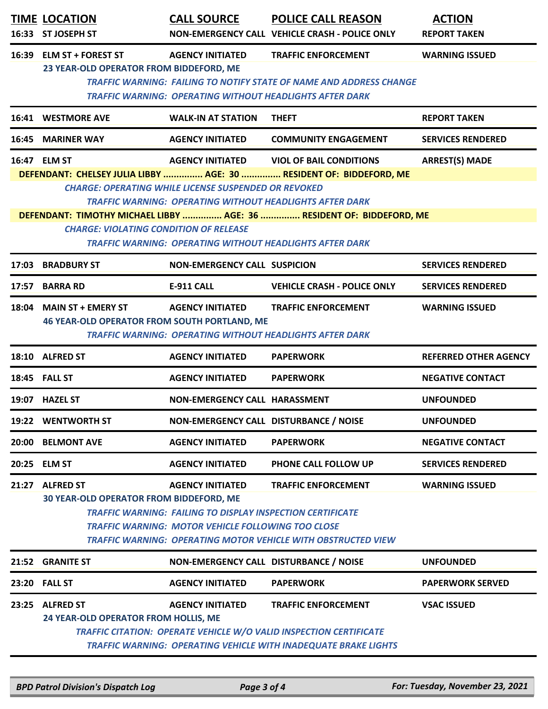|       | <b>TIME LOCATION</b><br>16:33 ST JOSEPH ST                                       | <b>CALL SOURCE</b>                                                                                                                                 | <b>POLICE CALL REASON</b><br>NON-EMERGENCY CALL VEHICLE CRASH - POLICE ONLY                                                                                                 | <b>ACTION</b><br><b>REPORT TAKEN</b> |
|-------|----------------------------------------------------------------------------------|----------------------------------------------------------------------------------------------------------------------------------------------------|-----------------------------------------------------------------------------------------------------------------------------------------------------------------------------|--------------------------------------|
|       | 16:39 ELM ST + FOREST ST<br>23 YEAR-OLD OPERATOR FROM BIDDEFORD, ME              | <b>AGENCY INITIATED</b>                                                                                                                            | <b>TRAFFIC ENFORCEMENT</b><br><b>TRAFFIC WARNING: FAILING TO NOTIFY STATE OF NAME AND ADDRESS CHANGE</b><br><b>TRAFFIC WARNING: OPERATING WITHOUT HEADLIGHTS AFTER DARK</b> | <b>WARNING ISSUED</b>                |
|       | <b>16:41 WESTMORE AVE</b>                                                        | <b>WALK-IN AT STATION</b>                                                                                                                          | <b>THEFT</b>                                                                                                                                                                | <b>REPORT TAKEN</b>                  |
|       | 16:45 MARINER WAY                                                                | <b>AGENCY INITIATED</b>                                                                                                                            | <b>COMMUNITY ENGAGEMENT</b>                                                                                                                                                 | <b>SERVICES RENDERED</b>             |
|       | 16:47 ELM ST                                                                     | <b>AGENCY INITIATED</b><br><b>CHARGE: OPERATING WHILE LICENSE SUSPENDED OR REVOKED</b>                                                             | <b>VIOL OF BAIL CONDITIONS</b><br>DEFENDANT: CHELSEY JULIA LIBBY  AGE: 30  RESIDENT OF: BIDDEFORD, ME<br><b>TRAFFIC WARNING: OPERATING WITHOUT HEADLIGHTS AFTER DARK</b>    | <b>ARREST(S) MADE</b>                |
|       | <b>CHARGE: VIOLATING CONDITION OF RELEASE</b>                                    | <b>TRAFFIC WARNING: OPERATING WITHOUT HEADLIGHTS AFTER DARK</b>                                                                                    | DEFENDANT: TIMOTHY MICHAEL LIBBY  AGE: 36  RESIDENT OF: BIDDEFORD, ME                                                                                                       |                                      |
| 17:03 | <b>BRADBURY ST</b>                                                               | <b>NON-EMERGENCY CALL SUSPICION</b>                                                                                                                |                                                                                                                                                                             | <b>SERVICES RENDERED</b>             |
|       | 17:57 BARRA RD                                                                   | <b>E-911 CALL</b>                                                                                                                                  | <b>VEHICLE CRASH - POLICE ONLY</b>                                                                                                                                          | <b>SERVICES RENDERED</b>             |
| 18:04 | <b>MAIN ST + EMERY ST</b><br><b>46 YEAR-OLD OPERATOR FROM SOUTH PORTLAND, ME</b> | <b>AGENCY INITIATED</b>                                                                                                                            | <b>TRAFFIC ENFORCEMENT</b><br><b>TRAFFIC WARNING: OPERATING WITHOUT HEADLIGHTS AFTER DARK</b>                                                                               | <b>WARNING ISSUED</b>                |
|       | 18:10 ALFRED ST                                                                  | <b>AGENCY INITIATED</b>                                                                                                                            | <b>PAPERWORK</b>                                                                                                                                                            | <b>REFERRED OTHER AGENCY</b>         |
|       | 18:45 FALL ST                                                                    | <b>AGENCY INITIATED</b>                                                                                                                            | <b>PAPERWORK</b>                                                                                                                                                            | <b>NEGATIVE CONTACT</b>              |
|       | 19:07 HAZEL ST                                                                   | NON-EMERGENCY CALL HARASSMENT                                                                                                                      |                                                                                                                                                                             | <b>UNFOUNDED</b>                     |
| 19:22 | <b>WENTWORTH ST</b>                                                              | NON-EMERGENCY CALL DISTURBANCE / NOISE                                                                                                             |                                                                                                                                                                             | <b>UNFOUNDED</b>                     |
| 20:00 | <b>BELMONT AVE</b>                                                               | <b>AGENCY INITIATED</b>                                                                                                                            | <b>PAPERWORK</b>                                                                                                                                                            | <b>NEGATIVE CONTACT</b>              |
| 20:25 | <b>ELM ST</b>                                                                    | <b>AGENCY INITIATED</b>                                                                                                                            | PHONE CALL FOLLOW UP                                                                                                                                                        | <b>SERVICES RENDERED</b>             |
| 21:27 | <b>ALFRED ST</b><br>30 YEAR-OLD OPERATOR FROM BIDDEFORD, ME                      | <b>AGENCY INITIATED</b><br>TRAFFIC WARNING: FAILING TO DISPLAY INSPECTION CERTIFICATE<br><b>TRAFFIC WARNING: MOTOR VEHICLE FOLLOWING TOO CLOSE</b> | <b>TRAFFIC ENFORCEMENT</b><br><b>TRAFFIC WARNING: OPERATING MOTOR VEHICLE WITH OBSTRUCTED VIEW</b>                                                                          | <b>WARNING ISSUED</b>                |
|       | 21:52 GRANITE ST                                                                 | NON-EMERGENCY CALL DISTURBANCE / NOISE                                                                                                             |                                                                                                                                                                             | <b>UNFOUNDED</b>                     |
|       | 23:20 FALL ST                                                                    | <b>AGENCY INITIATED</b>                                                                                                                            | <b>PAPERWORK</b>                                                                                                                                                            | <b>PAPERWORK SERVED</b>              |
|       | 23:25 ALFRED ST<br>24 YEAR-OLD OPERATOR FROM HOLLIS, ME                          | <b>AGENCY INITIATED</b>                                                                                                                            | <b>TRAFFIC ENFORCEMENT</b><br>TRAFFIC CITATION: OPERATE VEHICLE W/O VALID INSPECTION CERTIFICATE<br>TRAFFIC WARNING: OPERATING VEHICLE WITH INADEQUATE BRAKE LIGHTS         | <b>VSAC ISSUED</b>                   |

*BPD Patrol Division's Dispatch Log Page 3 of 4 For: Tuesday, November 23, 2021*